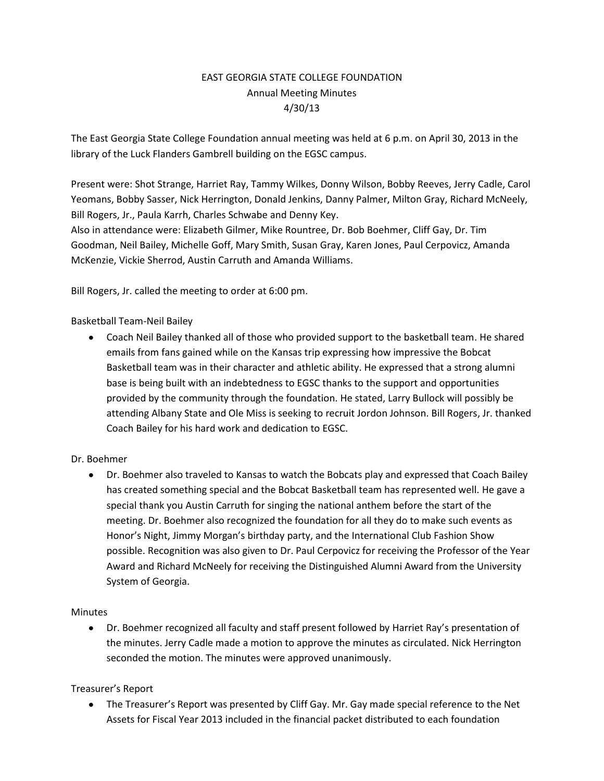# EAST GEORGIA STATE COLLEGE FOUNDATION Annual Meeting Minutes 4/30/13

The East Georgia State College Foundation annual meeting was held at 6 p.m. on April 30, 2013 in the library of the Luck Flanders Gambrell building on the EGSC campus.

Present were: Shot Strange, Harriet Ray, Tammy Wilkes, Donny Wilson, Bobby Reeves, Jerry Cadle, Carol Yeomans, Bobby Sasser, Nick Herrington, Donald Jenkins, Danny Palmer, Milton Gray, Richard McNeely, Bill Rogers, Jr., Paula Karrh, Charles Schwabe and Denny Key.

Also in attendance were: Elizabeth Gilmer, Mike Rountree, Dr. Bob Boehmer, Cliff Gay, Dr. Tim Goodman, Neil Bailey, Michelle Goff, Mary Smith, Susan Gray, Karen Jones, Paul Cerpovicz, Amanda McKenzie, Vickie Sherrod, Austin Carruth and Amanda Williams.

Bill Rogers, Jr. called the meeting to order at 6:00 pm.

## Basketball Team-Neil Bailey

Coach Neil Bailey thanked all of those who provided support to the basketball team. He shared emails from fans gained while on the Kansas trip expressing how impressive the Bobcat Basketball team was in their character and athletic ability. He expressed that a strong alumni base is being built with an indebtedness to EGSC thanks to the support and opportunities provided by the community through the foundation. He stated, Larry Bullock will possibly be attending Albany State and Ole Miss is seeking to recruit Jordon Johnson. Bill Rogers, Jr. thanked Coach Bailey for his hard work and dedication to EGSC.

#### Dr. Boehmer

Dr. Boehmer also traveled to Kansas to watch the Bobcats play and expressed that Coach Bailey has created something special and the Bobcat Basketball team has represented well. He gave a special thank you Austin Carruth for singing the national anthem before the start of the meeting. Dr. Boehmer also recognized the foundation for all they do to make such events as Honor's Night, Jimmy Morgan's birthday party, and the International Club Fashion Show possible. Recognition was also given to Dr. Paul Cerpovicz for receiving the Professor of the Year Award and Richard McNeely for receiving the Distinguished Alumni Award from the University System of Georgia.

#### Minutes

Dr. Boehmer recognized all faculty and staff present followed by Harriet Ray's presentation of the minutes. Jerry Cadle made a motion to approve the minutes as circulated. Nick Herrington seconded the motion. The minutes were approved unanimously.

## Treasurer's Report

The Treasurer's Report was presented by Cliff Gay. Mr. Gay made special reference to the Net Assets for Fiscal Year 2013 included in the financial packet distributed to each foundation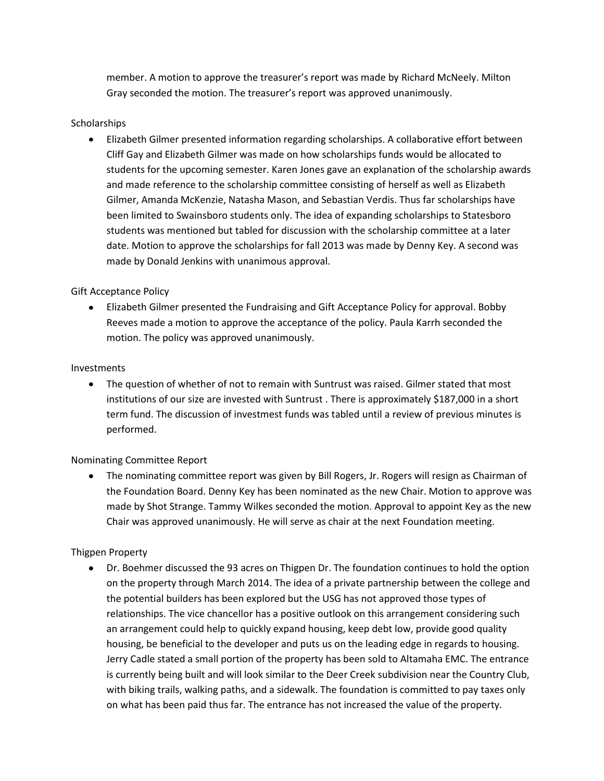member. A motion to approve the treasurer's report was made by Richard McNeely. Milton Gray seconded the motion. The treasurer's report was approved unanimously.

## **Scholarships**

Elizabeth Gilmer presented information regarding scholarships. A collaborative effort between Cliff Gay and Elizabeth Gilmer was made on how scholarships funds would be allocated to students for the upcoming semester. Karen Jones gave an explanation of the scholarship awards and made reference to the scholarship committee consisting of herself as well as Elizabeth Gilmer, Amanda McKenzie, Natasha Mason, and Sebastian Verdis. Thus far scholarships have been limited to Swainsboro students only. The idea of expanding scholarships to Statesboro students was mentioned but tabled for discussion with the scholarship committee at a later date. Motion to approve the scholarships for fall 2013 was made by Denny Key. A second was made by Donald Jenkins with unanimous approval.

## Gift Acceptance Policy

Elizabeth Gilmer presented the Fundraising and Gift Acceptance Policy for approval. Bobby Reeves made a motion to approve the acceptance of the policy. Paula Karrh seconded the motion. The policy was approved unanimously.

## Investments

The question of whether of not to remain with Suntrust was raised. Gilmer stated that most  $\bullet$ institutions of our size are invested with Suntrust . There is approximately \$187,000 in a short term fund. The discussion of investmest funds was tabled until a review of previous minutes is performed.

#### Nominating Committee Report

The nominating committee report was given by Bill Rogers, Jr. Rogers will resign as Chairman of the Foundation Board. Denny Key has been nominated as the new Chair. Motion to approve was made by Shot Strange. Tammy Wilkes seconded the motion. Approval to appoint Key as the new Chair was approved unanimously. He will serve as chair at the next Foundation meeting.

#### Thigpen Property

Dr. Boehmer discussed the 93 acres on Thigpen Dr. The foundation continues to hold the option on the property through March 2014. The idea of a private partnership between the college and the potential builders has been explored but the USG has not approved those types of relationships. The vice chancellor has a positive outlook on this arrangement considering such an arrangement could help to quickly expand housing, keep debt low, provide good quality housing, be beneficial to the developer and puts us on the leading edge in regards to housing. Jerry Cadle stated a small portion of the property has been sold to Altamaha EMC. The entrance is currently being built and will look similar to the Deer Creek subdivision near the Country Club, with biking trails, walking paths, and a sidewalk. The foundation is committed to pay taxes only on what has been paid thus far. The entrance has not increased the value of the property.